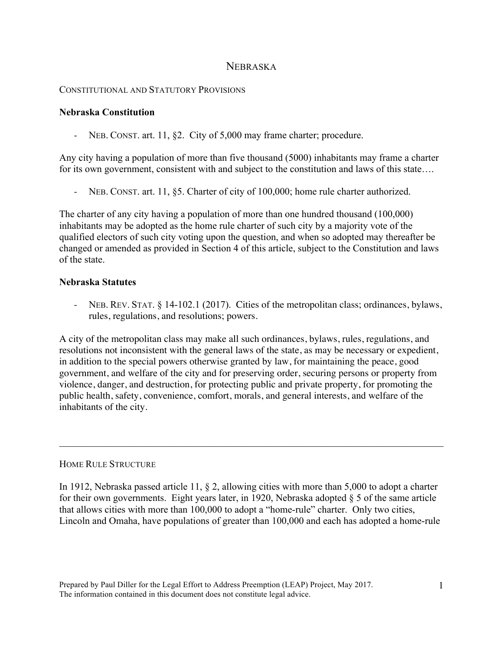# NEBRASKA

## CONSTITUTIONAL AND STATUTORY PROVISIONS

## **Nebraska Constitution**

- NEB. CONST. art. 11, §2. City of 5,000 may frame charter; procedure.

Any city having a population of more than five thousand (5000) inhabitants may frame a charter for its own government, consistent with and subject to the constitution and laws of this state….

- NEB. CONST. art. 11, §5. Charter of city of 100,000; home rule charter authorized.

The charter of any city having a population of more than one hundred thousand (100,000) inhabitants may be adopted as the home rule charter of such city by a majority vote of the qualified electors of such city voting upon the question, and when so adopted may thereafter be changed or amended as provided in Section 4 of this article, subject to the Constitution and laws of the state.

## **Nebraska Statutes**

- NEB. REV. STAT. § 14-102.1 (2017). Cities of the metropolitan class; ordinances, bylaws, rules, regulations, and resolutions; powers.

A city of the metropolitan class may make all such ordinances, bylaws, rules, regulations, and resolutions not inconsistent with the general laws of the state, as may be necessary or expedient, in addition to the special powers otherwise granted by law, for maintaining the peace, good government, and welfare of the city and for preserving order, securing persons or property from violence, danger, and destruction, for protecting public and private property, for promoting the public health, safety, convenience, comfort, morals, and general interests, and welfare of the inhabitants of the city.

#### HOME RULE STRUCTURE

In 1912, Nebraska passed article 11, § 2, allowing cities with more than 5,000 to adopt a charter for their own governments. Eight years later, in 1920, Nebraska adopted  $\S$  5 of the same article that allows cities with more than 100,000 to adopt a "home-rule" charter. Only two cities, Lincoln and Omaha, have populations of greater than 100,000 and each has adopted a home-rule

 $\mathcal{L}_\mathcal{L} = \{ \mathcal{L}_\mathcal{L} = \{ \mathcal{L}_\mathcal{L} = \{ \mathcal{L}_\mathcal{L} = \{ \mathcal{L}_\mathcal{L} = \{ \mathcal{L}_\mathcal{L} = \{ \mathcal{L}_\mathcal{L} = \{ \mathcal{L}_\mathcal{L} = \{ \mathcal{L}_\mathcal{L} = \{ \mathcal{L}_\mathcal{L} = \{ \mathcal{L}_\mathcal{L} = \{ \mathcal{L}_\mathcal{L} = \{ \mathcal{L}_\mathcal{L} = \{ \mathcal{L}_\mathcal{L} = \{ \mathcal{L}_\mathcal{$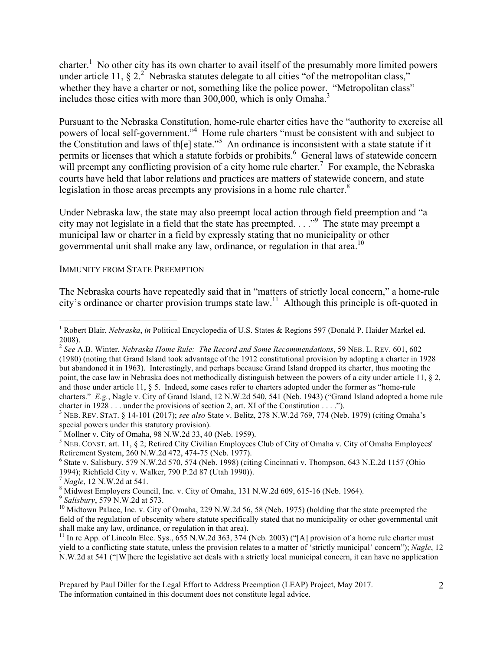charter.<sup>1</sup> No other city has its own charter to avail itself of the presumably more limited powers under article 11,  $\S 2^2$ . Nebraska statutes delegate to all cities "of the metropolitan class," whether they have a charter or not, something like the police power. "Metropolitan class" includes those cities with more than 300,000, which is only Omaha.<sup>3</sup>

Pursuant to the Nebraska Constitution, home-rule charter cities have the "authority to exercise all powers of local self-government."<sup>4</sup> Home rule charters "must be consistent with and subject to the Constitution and laws of th[e] state.<sup>55</sup> An ordinance is inconsistent with a state statute if it permits or licenses that which a statute forbids or prohibits. 6 General laws of statewide concern will preempt any conflicting provision of a city home rule charter.<sup>7</sup> For example, the Nebraska courts have held that labor relations and practices are matters of statewide concern, and state legislation in those areas preempts any provisions in a home rule charter. $8$ 

Under Nebraska law, the state may also preempt local action through field preemption and "a city may not legislate in a field that the state has preempted. . . ."<sup>9</sup> The state may preempt a municipal law or charter in a field by expressly stating that no municipality or other governmental unit shall make any law, ordinance, or regulation in that area.<sup>10</sup>

#### IMMUNITY FROM STATE PREEMPTION

The Nebraska courts have repeatedly said that in "matters of strictly local concern," a home-rule city's ordinance or charter provision trumps state law.<sup>11</sup> Although this principle is oft-quoted in

special powers under this statutory provision).

 $4^{4}$  Mollner v. City of Omaha, 98 N.W.2d 33, 40 (Neb. 1959).

 $\frac{1}{1}$ <sup>1</sup> Robert Blair, *Nebraska*, *in* Political Encyclopedia of U.S. States & Regions 597 (Donald P. Haider Markel ed. 2008).

<sup>2</sup> *See* A.B. Winter, *Nebraska Home Rule: The Record and Some Recommendations*, 59 NEB. L. REV. 601, 602 (1980) (noting that Grand Island took advantage of the 1912 constitutional provision by adopting a charter in 1928 but abandoned it in 1963). Interestingly, and perhaps because Grand Island dropped its charter, thus mooting the point, the case law in Nebraska does not methodically distinguish between the powers of a city under article 11, § 2, and those under article 11, § 5. Indeed, some cases refer to charters adopted under the former as "home-rule charters." *E.g.*, Nagle v. City of Grand Island, 12 N.W.2d 540, 541 (Neb. 1943) ("Grand Island adopted a home rule

charter in 1928 . . . under the provisions of section 2, art. XI of the Constitution . . . ."). <sup>3</sup> NEB. REV. STAT. § 14-101 (2017); *see also* State v. Belitz, 278 N.W.2d 769, 774 (Neb. 1979) (citing Omaha's

<sup>&</sup>lt;sup>5</sup> NEB. CONST. art. 11, § 2; Retired City Civilian Employees Club of City of Omaha v. City of Omaha Employees' Retirement System, 260 N.W.2d 472, 474-75 (Neb. 1977).

 $6$  State v. Salisbury, 579 N.W.2d 570, 574 (Neb. 1998) (citing Cincinnati v. Thompson, 643 N.E.2d 1157 (Ohio 1994); Richfield City v. Walker, 790 P.2d 87 (Utah 1990)).

<sup>&</sup>lt;sup>7</sup> *Nagle*, 12 N.W.2d at 541.<br><sup>8</sup> Midwest Employers Council, Inc. v. City of Omaha, 131 N.W.2d 609, 615-16 (Neb. 1964).

 $\frac{9}{10}$  Salisbury, 579 N.W.2d at 573.<br><sup>10</sup> Midtown Palace, Inc. v. City of Omaha, 229 N.W.2d 56, 58 (Neb. 1975) (holding that the state preempted the field of the regulation of obscenity where statute specifically stated that no municipality or other governmental unit shall make any law, ordinance, or regulation in that area).

<sup>&</sup>lt;sup>11</sup> In re App. of Lincoln Elec. Sys.,  $\overline{655}$  N.W.2d 363, 374 (Neb. 2003) ("[A] provision of a home rule charter must yield to a conflicting state statute, unless the provision relates to a matter of 'strictly municipal' concern"); *Nagle*, 12 N.W.2d at 541 ("[W]here the legislative act deals with a strictly local municipal concern, it can have no application